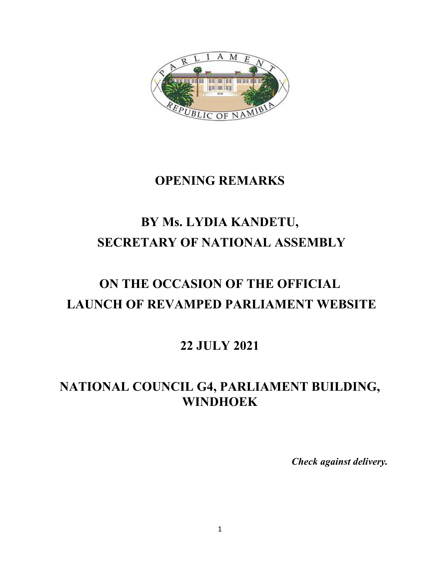

#### **OPENING REMARKS**

## **BY Ms. LYDIA KANDETU, SECRETARY OF NATIONAL ASSEMBLY**

# **ON THE OCCASION OF THE OFFICIAL LAUNCH OF REVAMPED PARLIAMENT WEBSITE**

#### **22 JULY 2021**

### **NATIONAL COUNCIL G4, PARLIAMENT BUILDING, WINDHOEK**

*Check against delivery.*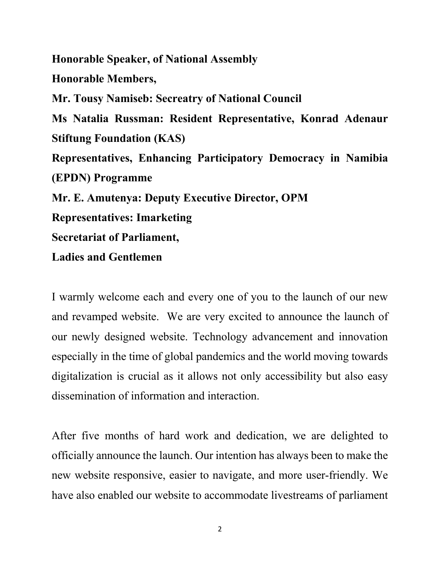**Honorable Speaker, of National Assembly Honorable Members, Mr. Tousy Namiseb: Secreatry of National Council Ms Natalia Russman: Resident Representative, Konrad Adenaur Stiftung Foundation (KAS) Representatives, Enhancing Participatory Democracy in Namibia (EPDN) Programme Mr. E. Amutenya: Deputy Executive Director, OPM Representatives: Imarketing Secretariat of Parliament,**

**Ladies and Gentlemen**

I warmly welcome each and every one of you to the launch of our new and revamped website. We are very excited to announce the launch of our newly designed website. Technology advancement and innovation especially in the time of global pandemics and the world moving towards digitalization is crucial as it allows not only accessibility but also easy dissemination of information and interaction.

After five months of hard work and dedication, we are delighted to officially announce the launch. Our intention has always been to make the new website responsive, easier to navigate, and more user-friendly. We have also enabled our website to accommodate livestreams of parliament